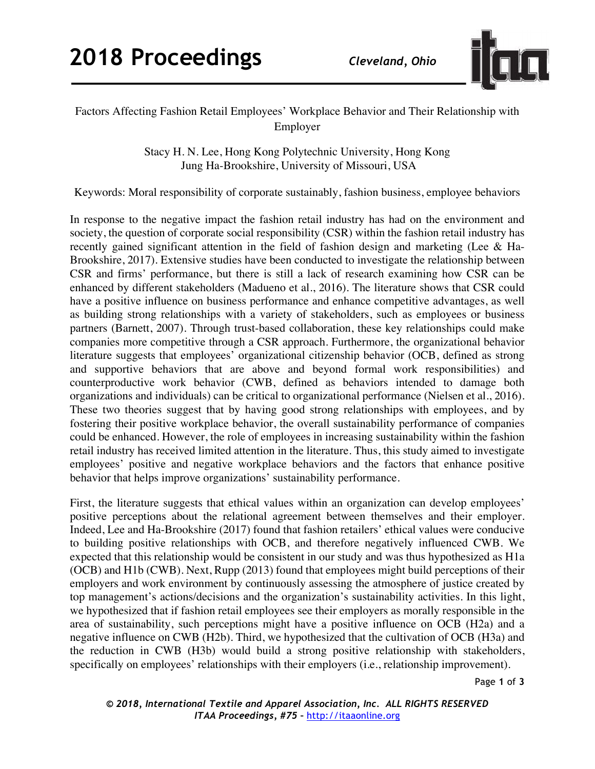

## Factors Affecting Fashion Retail Employees' Workplace Behavior and Their Relationship with Employer

Stacy H. N. Lee, Hong Kong Polytechnic University, Hong Kong Jung Ha-Brookshire, University of Missouri, USA

Keywords: Moral responsibility of corporate sustainably, fashion business, employee behaviors

In response to the negative impact the fashion retail industry has had on the environment and society, the question of corporate social responsibility (CSR) within the fashion retail industry has recently gained significant attention in the field of fashion design and marketing (Lee & Ha-Brookshire, 2017). Extensive studies have been conducted to investigate the relationship between CSR and firms' performance, but there is still a lack of research examining how CSR can be enhanced by different stakeholders (Madueno et al., 2016). The literature shows that CSR could have a positive influence on business performance and enhance competitive advantages, as well as building strong relationships with a variety of stakeholders, such as employees or business partners (Barnett, 2007). Through trust-based collaboration, these key relationships could make companies more competitive through a CSR approach. Furthermore, the organizational behavior literature suggests that employees' organizational citizenship behavior (OCB, defined as strong and supportive behaviors that are above and beyond formal work responsibilities) and counterproductive work behavior (CWB, defined as behaviors intended to damage both organizations and individuals) can be critical to organizational performance (Nielsen et al., 2016). These two theories suggest that by having good strong relationships with employees, and by fostering their positive workplace behavior, the overall sustainability performance of companies could be enhanced. However, the role of employees in increasing sustainability within the fashion retail industry has received limited attention in the literature. Thus, this study aimed to investigate employees' positive and negative workplace behaviors and the factors that enhance positive behavior that helps improve organizations' sustainability performance.

First, the literature suggests that ethical values within an organization can develop employees' positive perceptions about the relational agreement between themselves and their employer. Indeed, Lee and Ha-Brookshire (2017) found that fashion retailers' ethical values were conducive to building positive relationships with OCB, and therefore negatively influenced CWB. We expected that this relationship would be consistent in our study and was thus hypothesized as H1a (OCB) and H1b (CWB). Next, Rupp (2013) found that employees might build perceptions of their employers and work environment by continuously assessing the atmosphere of justice created by top management's actions/decisions and the organization's sustainability activities. In this light, we hypothesized that if fashion retail employees see their employers as morally responsible in the area of sustainability, such perceptions might have a positive influence on OCB (H2a) and a negative influence on CWB (H2b). Third, we hypothesized that the cultivation of OCB (H3a) and the reduction in CWB (H3b) would build a strong positive relationship with stakeholders, specifically on employees' relationships with their employers (i.e., relationship improvement).

Page **1** of **3**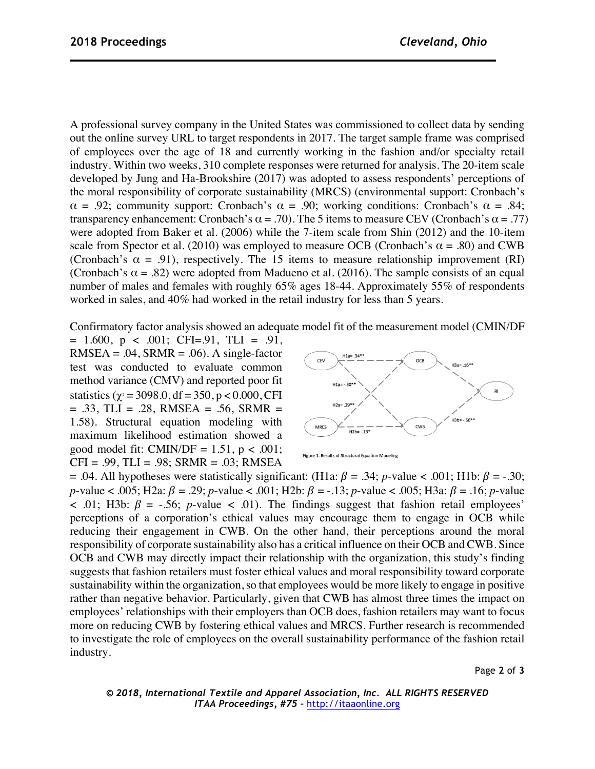A professional survey company in the United States was commissioned to collect data by sending out the online survey URL to target respondents in 2017. The target sample frame was comprised of employees over the age of 18 and currently working in the fashion and/or specialty retail industry. Within two weeks, 310 complete responses were returned for analysis. The 20-item scale developed by Jung and Ha-Brookshire (2017) was adopted to assess respondents' perceptions of the moral responsibility of corporate sustainability (MRCS) (environmental support: Cronbach's  $\alpha = .92$ ; community support: Cronbach's  $\alpha = .90$ ; working conditions: Cronbach's  $\alpha = .84$ ; transparency enhancement: Cronbach's  $\alpha = .70$ ). The 5 items to measure CEV (Cronbach's  $\alpha = .77$ ) were adopted from Baker et al. (2006) while the 7-item scale from Shin (2012) and the 10-item scale from Spector et al. (2010) was employed to measure OCB (Cronbach's  $\alpha$  = .80) and CWB (Cronbach's  $\alpha = .91$ ), respectively. The 15 items to measure relationship improvement (RI) (Cronbach's  $\alpha$  = .82) were adopted from Madueno et al. (2016). The sample consists of an equal number of males and females with roughly 65% ages 18-44. Approximately 55% of respondents worked in sales, and 40% had worked in the retail industry for less than 5 years.

Confirmatory factor analysis showed an adequate model fit of the measurement model (CMIN/DF

 $= 1.600$ ,  $p < .001$ ; CFI=.91, TLI = .91,  $RMSEA = .04$ ,  $SRMR = .06$ ). A single-factor test was conducted to evaluate common method variance (CMV) and reported poor fit statistics ( $\gamma$ <sup>2</sup> = 3098.0, df = 350, p < 0.000, CFI  $= .33$ , TLI  $= .28$ , RMSEA  $= .56$ , SRMR  $=$ 1.58). Structural equation modeling with maximum likelihood estimation showed a good model fit: CMIN/DF =  $1.51$ , p < .001;  $CFI = .99$ ,  $TLI = .98$ ;  $SRMR = .03$ ;  $RMSEA$ 



Figure 1. Results of Structural Equation Modeling

= .04. All hypotheses were statistically significant: (H1a:  $\beta$  = .34; *p*-value < .001; H1b:  $\beta$  = -.30; *p*-value < .005; H2a:  $\beta = .29$ ; *p*-value < .001; H2b:  $\beta = .13$ ; *p*-value < .005; H3a:  $\beta = .16$ ; *p*-value  $\leq$  .01; H3b:  $\beta$  = -.56; *p*-value  $\leq$  .01). The findings suggest that fashion retail employees' perceptions of a corporation's ethical values may encourage them to engage in OCB while reducing their engagement in CWB. On the other hand, their perceptions around the moral responsibility of corporate sustainability also has a critical influence on their OCB and CWB. Since OCB and CWB may directly impact their relationship with the organization, this study's finding suggests that fashion retailers must foster ethical values and moral responsibility toward corporate sustainability within the organization, so that employees would be more likely to engage in positive rather than negative behavior. Particularly, given that CWB has almost three times the impact on employees' relationships with their employers than OCB does, fashion retailers may want to focus more on reducing CWB by fostering ethical values and MRCS. Further research is recommended to investigate the role of employees on the overall sustainability performance of the fashion retail industry.

Page **2** of **3**

*© 2018, International Textile and Apparel Association, Inc. ALL RIGHTS RESERVED ITAA Proceedings, #75 –* http://itaaonline.org